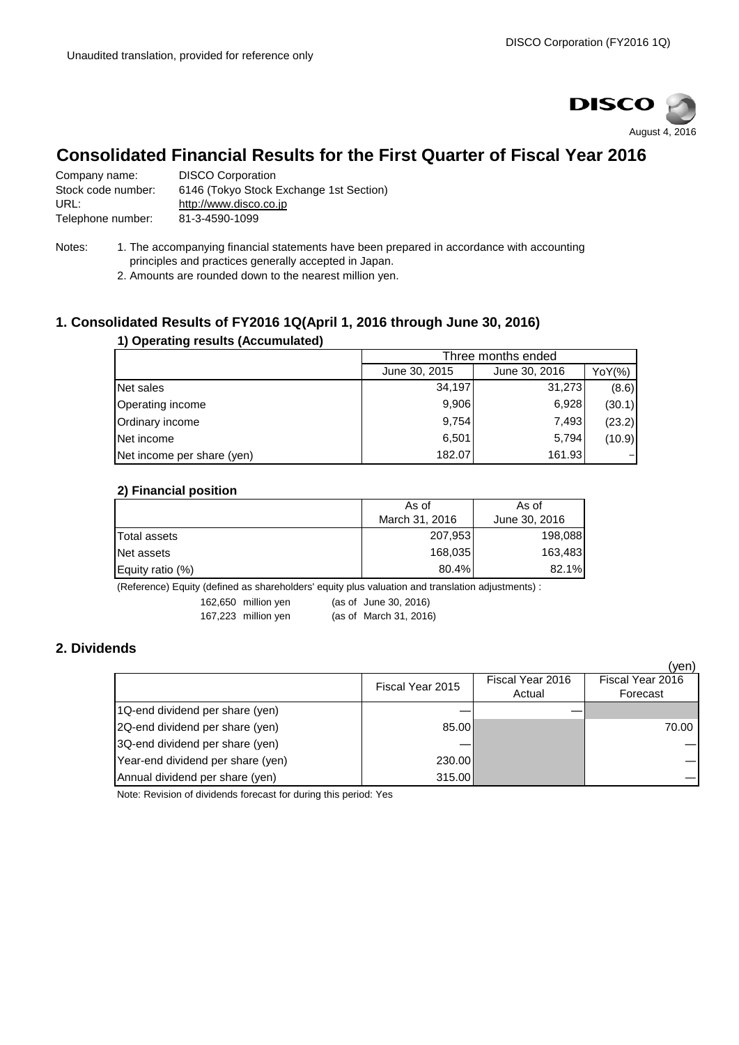

## **Consolidated Financial Results for the First Quarter of Fiscal Year 2016**

Company name: DISCO Corporation<br>Stock code number: 6146 (Tokvo Stock I 6146 (Tokyo Stock Exchange 1st Section) URL: [http://www.disco.co.jp](http://www.disco.co.jp/) Telephone number: 81-3-4590-1099

- Notes: 1. The accompanying financial statements have been prepared in accordance with accounting principles and practices generally accepted in Japan.
	- 2. Amounts are rounded down to the nearest million yen.

## **1. Consolidated Results of FY2016 1Q(April 1, 2016 through June 30, 2016)**

### **1) Operating results (Accumulated)**

|                            | Three months ended |               |        |  |
|----------------------------|--------------------|---------------|--------|--|
|                            | June 30, 2015      | June 30, 2016 | YoY(%) |  |
| Net sales                  | 34,197             | 31,273        | (8.6)  |  |
| Operating income           | 9,906              | 6,928         | (30.1) |  |
| Ordinary income            | 9,754              | 7.493         | (23.2) |  |
| Net income                 | 6,501              | 5,794         | (10.9) |  |
| Net income per share (yen) | 182.07             | 161.93        |        |  |

#### **2) Financial position**

| As of          | As of                       |  |
|----------------|-----------------------------|--|
| March 31, 2016 | June 30, 2016               |  |
|                | 198,088                     |  |
|                | 163,483                     |  |
|                | 82.1%                       |  |
|                | 207,953<br>168,035<br>80.4% |  |

(Reference) Equity (defined as shareholders' equity plus valuation and translation adjustments) :

162,650 million yen (as of June 30, 2016)

167,223 million yen (as of March 31, 2016)

## **2. Dividends**

|                                   |                  |                            | (yen)                        |
|-----------------------------------|------------------|----------------------------|------------------------------|
|                                   | Fiscal Year 2015 | Fiscal Year 2016<br>Actual | Fiscal Year 2016<br>Forecast |
| 1Q-end dividend per share (yen)   |                  |                            |                              |
| 2Q-end dividend per share (yen)   | 85.00            |                            | 70.00                        |
| 3Q-end dividend per share (yen)   |                  |                            |                              |
| Year-end dividend per share (yen) | 230.00           |                            |                              |
| Annual dividend per share (yen)   | 315.00           |                            |                              |

Note: Revision of dividends forecast for during this period: Yes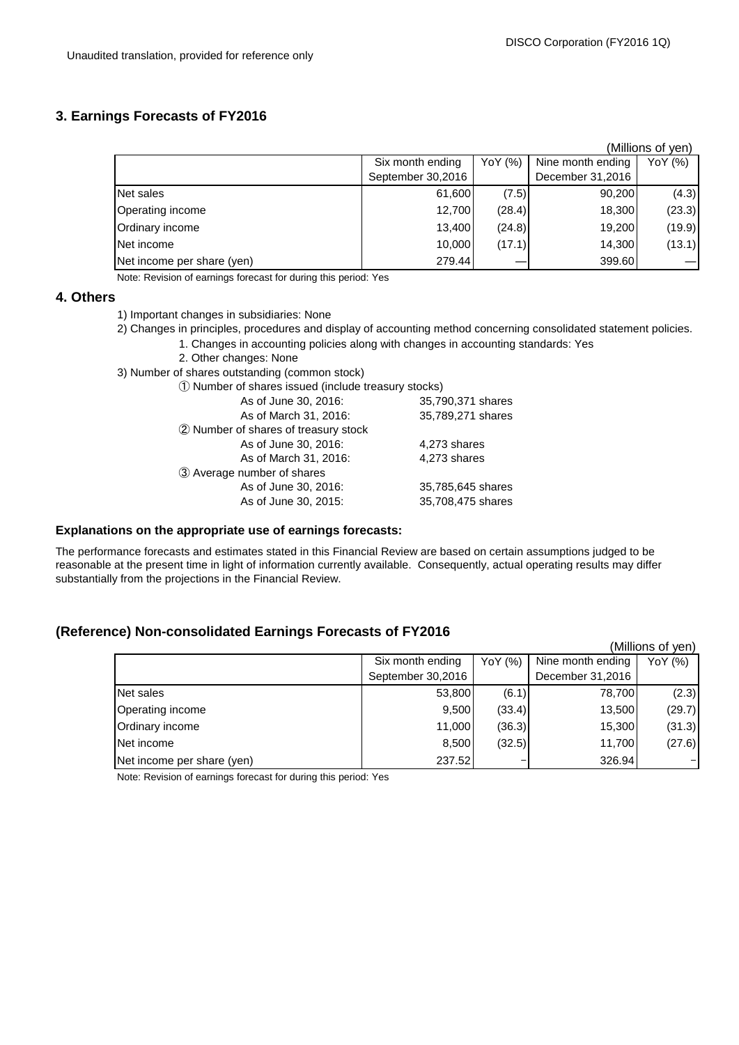### **3. Earnings Forecasts of FY2016**

|                            |                   |                                         |                  | (Millions of yen) |
|----------------------------|-------------------|-----------------------------------------|------------------|-------------------|
|                            | Six month ending  | Nine month ending<br>YoY (%)<br>YoY (%) |                  |                   |
|                            | September 30,2016 |                                         | December 31,2016 |                   |
| Net sales                  | 61,600            | (7.5)                                   | 90,200           | (4.3)             |
| Operating income           | 12,700            | (28.4)                                  | 18,300           | (23.3)            |
| Ordinary income            | 13,400            | (24.8)                                  | 19,200           | (19.9)            |
| Net income                 | 10,000            | (17.1)                                  | 14,300           | (13.1)            |
| Net income per share (yen) | 279.44            |                                         | 399.60           |                   |

Note: Revision of earnings forecast for during this period: Yes

#### **4. Others**

- 1) Important changes in subsidiaries: None
- 2) Changes in principles, procedures and display of accounting method concerning consolidated statement policies.
	- 1. Changes in accounting policies along with changes in accounting standards: Yes
	- 2. Other changes: None
- 3) Number of shares outstanding (common stock)

| 1) Number of shares issued (include treasury stocks) |                   |  |  |  |
|------------------------------------------------------|-------------------|--|--|--|
| As of June 30, 2016:                                 | 35,790,371 shares |  |  |  |
| As of March 31, 2016:                                | 35,789,271 shares |  |  |  |
| 2 Number of shares of treasury stock                 |                   |  |  |  |
| As of June 30, 2016:                                 | 4,273 shares      |  |  |  |
| As of March 31, 2016:                                | 4,273 shares      |  |  |  |
| 3 Average number of shares                           |                   |  |  |  |
| As of June 30, 2016:                                 | 35,785,645 shares |  |  |  |
| As of June 30, 2015:                                 | 35,708,475 shares |  |  |  |
|                                                      |                   |  |  |  |

#### **Explanations on the appropriate use of earnings forecasts:**

The performance forecasts and estimates stated in this Financial Review are based on certain assumptions judged to be reasonable at the present time in light of information currently available. Consequently, actual operating results may differ substantially from the projections in the Financial Review.

## **(Reference) Non-consolidated Earnings Forecasts of FY2016**

|                            |                   |         |                   | (Millions of yen) |
|----------------------------|-------------------|---------|-------------------|-------------------|
|                            | Six month ending  | YoY (%) | Nine month ending | YoY (%)           |
|                            | September 30,2016 |         | December 31,2016  |                   |
| Net sales                  | 53,800            | (6.1)   | 78,700            | (2.3)             |
| Operating income           | 9,500             | (33.4)  | 13,500            | (29.7)            |
| Ordinary income            | 11,000            | (36.3)  | 15,300            | (31.3)            |
| Net income                 | 8,500             | (32.5)  | 11,700            | (27.6)            |
| Net income per share (yen) | 237.52            |         | 326.94            |                   |

Note: Revision of earnings forecast for during this period: Yes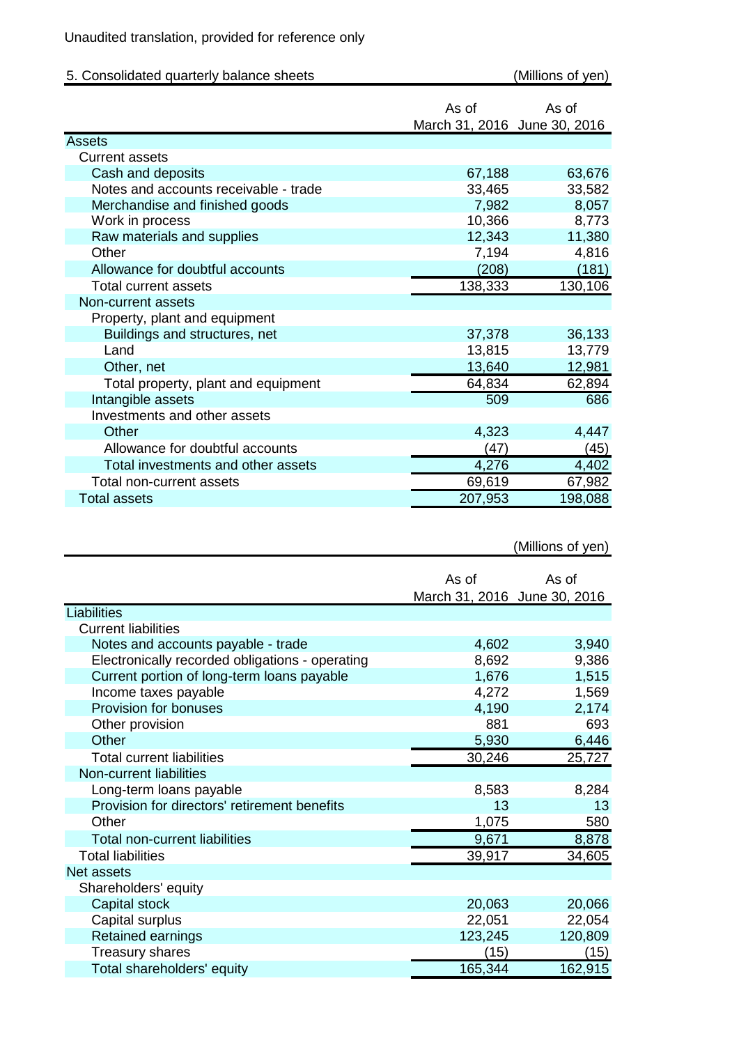# Unaudited translation, provided for reference only

| 5. Consolidated quarterly balance sheets |                                       | (Millions of yen) |
|------------------------------------------|---------------------------------------|-------------------|
|                                          | As of<br>March 31, 2016 June 30, 2016 | As of             |
| <b>Assets</b>                            |                                       |                   |
| <b>Current assets</b>                    |                                       |                   |
| Cash and deposits                        | 67,188                                | 63,676            |
| Notes and accounts receivable - trade    | 33,465                                | 33,582            |
| Merchandise and finished goods           | 7,982                                 | 8,057             |
| Work in process                          | 10,366                                | 8,773             |
| Raw materials and supplies               | 12,343                                | 11,380            |
| Other                                    | 7,194                                 | 4,816             |
| Allowance for doubtful accounts          | (208)                                 | (181)             |
| <b>Total current assets</b>              | 138,333                               | 130,106           |
| Non-current assets                       |                                       |                   |
| Property, plant and equipment            |                                       |                   |
| Buildings and structures, net            | 37,378                                | 36,133            |
| Land                                     | 13,815                                | 13,779            |
| Other, net                               | 13,640                                | 12,981            |
| Total property, plant and equipment      | 64,834                                | 62,894            |
| Intangible assets                        | 509                                   | 686               |
| Investments and other assets             |                                       |                   |
| Other                                    | 4,323                                 | 4,447             |
| Allowance for doubtful accounts          | (47)                                  | (45)              |
| Total investments and other assets       | 4,276                                 | 4,402             |
| Total non-current assets                 | 69,619                                | 67,982            |
| <b>Total assets</b>                      | 207,953                               | 198,088           |

# (Millions of yen)

|                                                 | As of<br>March 31, 2016 June 30, 2016 | As of   |
|-------------------------------------------------|---------------------------------------|---------|
| Liabilities                                     |                                       |         |
| <b>Current liabilities</b>                      |                                       |         |
| Notes and accounts payable - trade              | 4,602                                 | 3,940   |
| Electronically recorded obligations - operating | 8,692                                 | 9,386   |
| Current portion of long-term loans payable      | 1,676                                 | 1,515   |
| Income taxes payable                            | 4,272                                 | 1,569   |
| Provision for bonuses                           | 4,190                                 | 2,174   |
| Other provision                                 | 881                                   | 693     |
| Other                                           | 5,930                                 | 6,446   |
| <b>Total current liabilities</b>                | 30,246                                | 25,727  |
| Non-current liabilities                         |                                       |         |
| Long-term loans payable                         | 8,583                                 | 8,284   |
| Provision for directors' retirement benefits    | 13                                    | 13      |
| Other                                           | 1,075                                 | 580     |
| <b>Total non-current liabilities</b>            | 9,671                                 | 8,878   |
| <b>Total liabilities</b>                        | 39,917                                | 34,605  |
| Net assets                                      |                                       |         |
| Shareholders' equity                            |                                       |         |
| Capital stock                                   | 20,063                                | 20,066  |
| Capital surplus                                 | 22,051                                | 22,054  |
| <b>Retained earnings</b>                        | 123,245                               | 120,809 |
| <b>Treasury shares</b>                          | (15)                                  | (15)    |
| Total shareholders' equity                      | 165,344                               | 162,915 |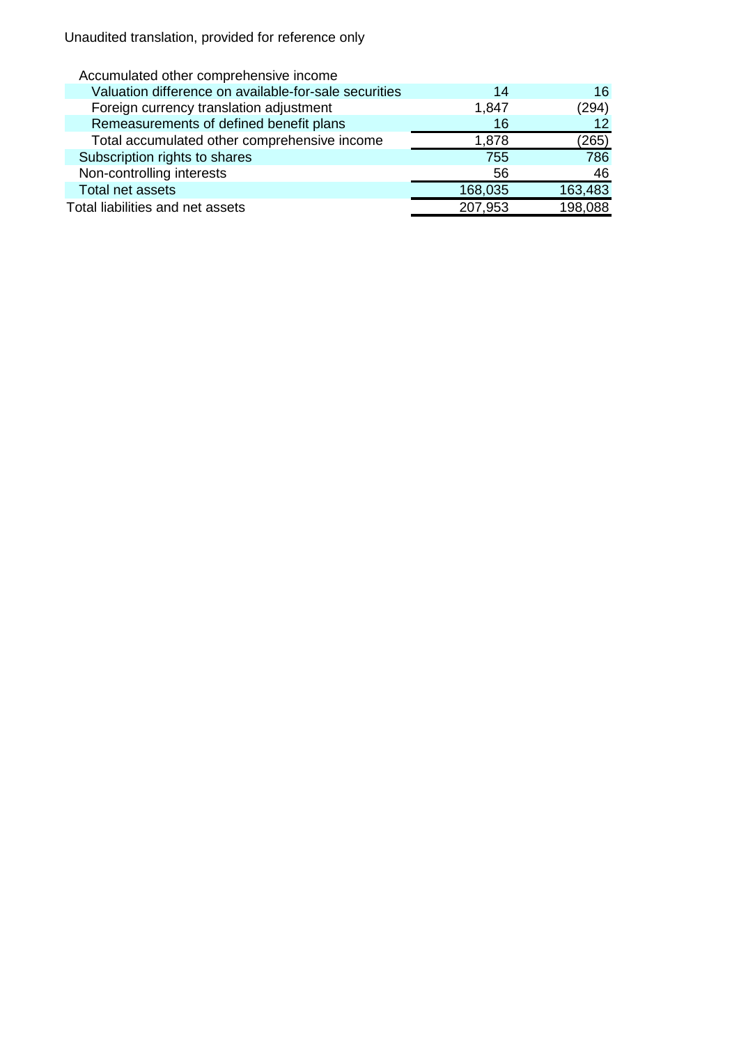Unaudited translation, provided for reference only

| Accumulated other comprehensive income                |         |         |
|-------------------------------------------------------|---------|---------|
| Valuation difference on available-for-sale securities | 14      | 16.     |
| Foreign currency translation adjustment               | 1,847   | (294)   |
| Remeasurements of defined benefit plans               | 16      | 12      |
| Total accumulated other comprehensive income          | 1,878   | (265)   |
| Subscription rights to shares                         | 755     | 786     |
| Non-controlling interests                             | 56      | 46      |
| Total net assets                                      | 168,035 | 163,483 |
| Total liabilities and net assets                      | 207,953 | 198,088 |